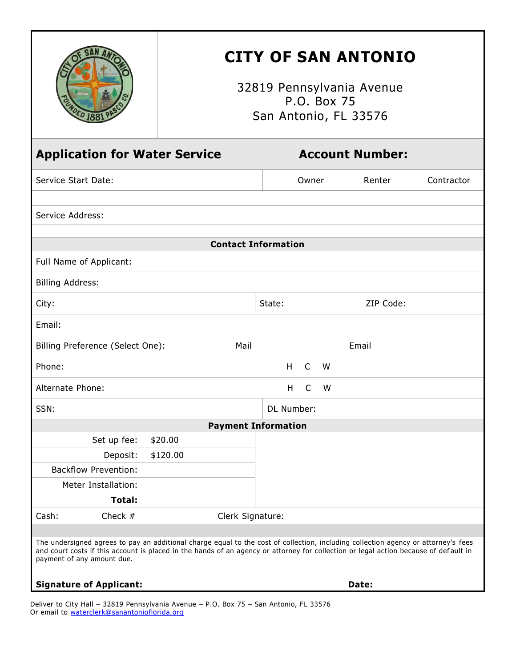|                                                                                                                                                                                                                                                                                                          | <b>CITY OF SAN ANTONIO</b><br>32819 Pennsylvania Avenue<br>P.O. Box 75<br>San Antonio, FL 33576 |                        |           |            |
|----------------------------------------------------------------------------------------------------------------------------------------------------------------------------------------------------------------------------------------------------------------------------------------------------------|-------------------------------------------------------------------------------------------------|------------------------|-----------|------------|
| <b>Application for Water Service</b><br><b>Account Number:</b>                                                                                                                                                                                                                                           |                                                                                                 |                        |           |            |
| Service Start Date:                                                                                                                                                                                                                                                                                      |                                                                                                 | Owner                  | Renter    | Contractor |
| Service Address:                                                                                                                                                                                                                                                                                         |                                                                                                 |                        |           |            |
| <b>Contact Information</b>                                                                                                                                                                                                                                                                               |                                                                                                 |                        |           |            |
| Full Name of Applicant:                                                                                                                                                                                                                                                                                  |                                                                                                 |                        |           |            |
|                                                                                                                                                                                                                                                                                                          |                                                                                                 |                        |           |            |
| <b>Billing Address:</b>                                                                                                                                                                                                                                                                                  |                                                                                                 |                        |           |            |
| City:                                                                                                                                                                                                                                                                                                    |                                                                                                 | State:                 | ZIP Code: |            |
| Email:                                                                                                                                                                                                                                                                                                   |                                                                                                 |                        |           |            |
| Billing Preference (Select One):<br>Mail<br>Email                                                                                                                                                                                                                                                        |                                                                                                 |                        |           |            |
| Phone:                                                                                                                                                                                                                                                                                                   |                                                                                                 | $\mathsf{C}$<br>H<br>W |           |            |
| Alternate Phone:                                                                                                                                                                                                                                                                                         |                                                                                                 | $\mathsf{C}$<br>H<br>W |           |            |
| SSN:                                                                                                                                                                                                                                                                                                     |                                                                                                 | DL Number:             |           |            |
| <b>Payment Information</b>                                                                                                                                                                                                                                                                               |                                                                                                 |                        |           |            |
| Set up fee:                                                                                                                                                                                                                                                                                              | \$20.00                                                                                         |                        |           |            |
| Deposit:                                                                                                                                                                                                                                                                                                 | \$120.00                                                                                        |                        |           |            |
| <b>Backflow Prevention:</b>                                                                                                                                                                                                                                                                              |                                                                                                 |                        |           |            |
| Meter Installation:                                                                                                                                                                                                                                                                                      |                                                                                                 |                        |           |            |
| Total:                                                                                                                                                                                                                                                                                                   |                                                                                                 |                        |           |            |
| Check $#$<br>Cash:                                                                                                                                                                                                                                                                                       | Clerk Signature:                                                                                |                        |           |            |
| The undersigned agrees to pay an additional charge equal to the cost of collection, including collection agency or attorney's fees<br>and court costs if this account is placed in the hands of an agency or attorney for collection or legal action because of default in<br>payment of any amount due. |                                                                                                 |                        |           |            |
| <b>Signature of Applicant:</b><br>Date:                                                                                                                                                                                                                                                                  |                                                                                                 |                        |           |            |

Deliver to City Hall – 32819 Pennsylvania Avenue – P.O. Box 75 – San Antonio, FL 33576 Or email to [waterclerk@sanantonioflorida.org](mailto:waterclerk@sanantonioflorida.org)